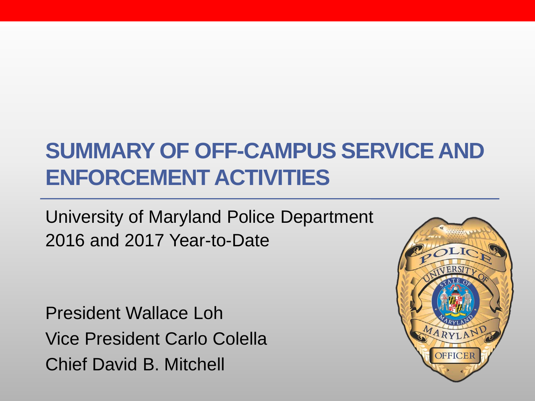### **SUMMARY OF OFF-CAMPUS SERVICE AND ENFORCEMENT ACTIVITIES**

University of Maryland Police Department 2016 and 2017 Year-to-Date

President Wallace Loh Vice President Carlo Colella Chief David B. Mitchell

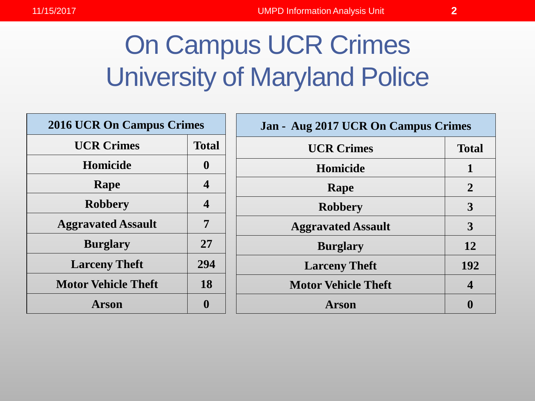# On Campus UCR Crimes University of Maryland Police

| <b>2016 UCR On Campus Crimes</b> |                         |
|----------------------------------|-------------------------|
| <b>UCR Crimes</b>                | <b>Total</b>            |
| Homicide                         | $\mathbf 0$             |
| Rape                             | $\overline{\mathbf{4}}$ |
| <b>Robbery</b>                   | $\overline{\mathbf{4}}$ |
| <b>Aggravated Assault</b>        | 7                       |
| <b>Burglary</b>                  | 27                      |
| <b>Larceny Theft</b>             | 294                     |
| <b>Motor Vehicle Theft</b>       | 18                      |
| Arson                            |                         |

| Jan - Aug 2017 UCR On Campus Crimes |                |
|-------------------------------------|----------------|
| <b>UCR Crimes</b>                   | <b>Total</b>   |
| <b>Homicide</b>                     | 1              |
| Rape                                | $\overline{2}$ |
| <b>Robbery</b>                      | 3              |
| <b>Aggravated Assault</b>           | 3              |
| <b>Burglary</b>                     | 12             |
| <b>Larceny Theft</b>                | 192            |
| <b>Motor Vehicle Theft</b>          | $\Delta$       |
| Arson                               |                |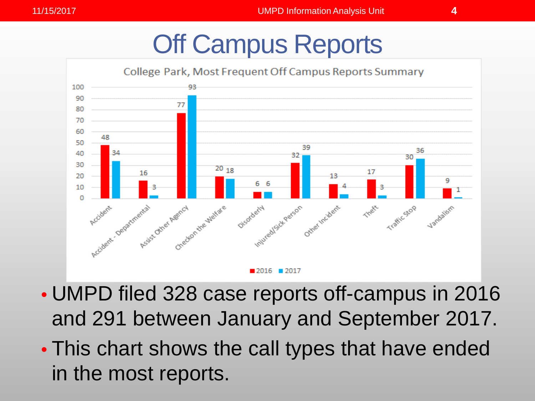## Off Campus Reports



- UMPD filed 328 case reports off-campus in 2016 and 291 between January and September 2017.
- This chart shows the call types that have ended in the most reports.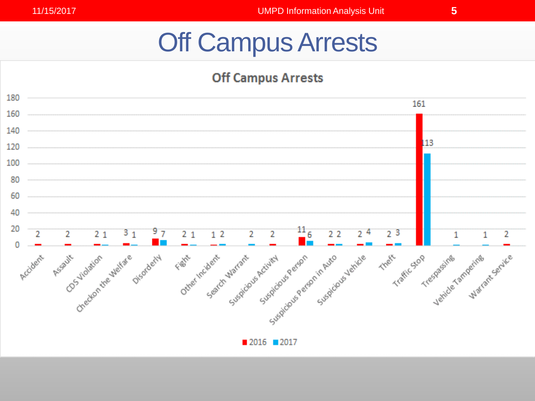## Off Campus Arrests

#### **Off Campus Arrests**

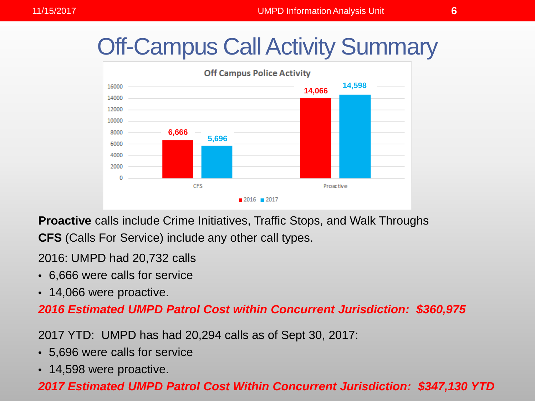### Off-Campus Call Activity Summary



**Proactive** calls include Crime Initiatives, Traffic Stops, and Walk Throughs **CFS** (Calls For Service) include any other call types.

2016: UMPD had 20,732 calls

- 6,666 were calls for service
- 14,066 were proactive.

*2016 Estimated UMPD Patrol Cost within Concurrent Jurisdiction: \$360,975*

2017 YTD: UMPD has had 20,294 calls as of Sept 30, 2017:

- 5,696 were calls for service
- 14,598 were proactive.

#### *2017 Estimated UMPD Patrol Cost Within Concurrent Jurisdiction: \$347,130 YTD*